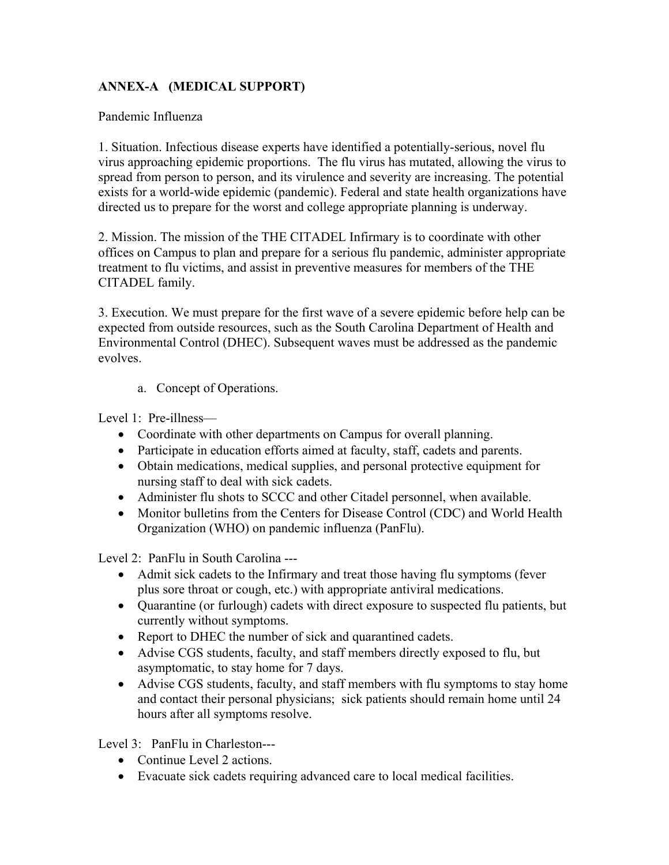## **ANNEX-A (MEDICAL SUPPORT)**

## Pandemic Influenza

1. Situation. Infectious disease experts have identified a potentially-serious, novel flu virus approaching epidemic proportions. The flu virus has mutated, allowing the virus to spread from person to person, and its virulence and severity are increasing. The potential exists for a world-wide epidemic (pandemic). Federal and state health organizations have directed us to prepare for the worst and college appropriate planning is underway.

2. Mission. The mission of the THE CITADEL Infirmary is to coordinate with other offices on Campus to plan and prepare for a serious flu pandemic, administer appropriate treatment to flu victims, and assist in preventive measures for members of the THE CITADEL family.

3. Execution. We must prepare for the first wave of a severe epidemic before help can be expected from outside resources, such as the South Carolina Department of Health and Environmental Control (DHEC). Subsequent waves must be addressed as the pandemic evolves.

a. Concept of Operations.

Level 1: Pre-illness—

- Coordinate with other departments on Campus for overall planning.
- Participate in education efforts aimed at faculty, staff, cadets and parents.
- Obtain medications, medical supplies, and personal protective equipment for nursing staff to deal with sick cadets.
- Administer flu shots to SCCC and other Citadel personnel, when available.
- Monitor bulletins from the Centers for Disease Control (CDC) and World Health Organization (WHO) on pandemic influenza (PanFlu).

Level 2: PanFlu in South Carolina ---

- Admit sick cadets to the Infirmary and treat those having flu symptoms (fever plus sore throat or cough, etc.) with appropriate antiviral medications.
- Quarantine (or furlough) cadets with direct exposure to suspected flu patients, but currently without symptoms.
- Report to DHEC the number of sick and quarantined cadets.
- Advise CGS students, faculty, and staff members directly exposed to flu, but asymptomatic, to stay home for 7 days.
- Advise CGS students, faculty, and staff members with flu symptoms to stay home and contact their personal physicians; sick patients should remain home until 24 hours after all symptoms resolve.

Level 3: PanFlu in Charleston---

- Continue Level 2 actions.
- Evacuate sick cadets requiring advanced care to local medical facilities.